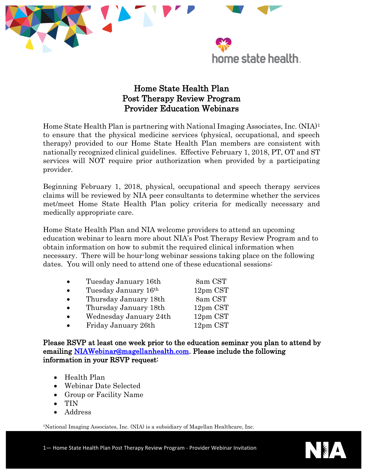

## Home State Health Plan Post Therapy Review Program Provider Education Webinars

Home State Health Plan is partnering with National Imaging Associates, Inc. (NIA)<sup>1</sup> to ensure that the physical medicine services (physical, occupational, and speech therapy) provided to our Home State Health Plan members are consistent with nationally recognized clinical guidelines. Effective February 1, 2018, PT, OT and ST services will NOT require prior authorization when provided by a participating provider.

Beginning February 1, 2018, physical, occupational and speech therapy services claims will be reviewed by NIA peer consultants to determine whether the services met/meet Home State Health Plan policy criteria for medically necessary and medically appropriate care.

Home State Health Plan and NIA welcome providers to attend an upcoming education webinar to learn more about NIA's Post Therapy Review Program and to obtain information on how to submit the required clinical information when necessary. There will be hour-long webinar sessions taking place on the following dates. You will only need to attend one of these educational sessions:

| $\bullet$ | Tuesday January 16th   | 8am CST    |
|-----------|------------------------|------------|
| $\bullet$ | Tuesday January 16th   | $12pm$ CST |
| $\bullet$ | Thursday January 18th  | 8am CST    |
| $\bullet$ | Thursday January 18th  | $12pm$ CST |
| $\bullet$ | Wednesday January 24th | $12pm$ CST |
| $\bullet$ | Friday January 26th    | $12pm$ CST |

Please RSVP at least one week prior to the education seminar you plan to attend by emailing [NIAWebinar@magellanhealth.com.](mailto:NIAWebinar@magellanhealth.com) Please include the following information in your RSVP request:

- Health Plan
- Webinar Date Selected
- Group or Facility Name
- TIN
- Address

<sup>1</sup>National Imaging Associates, Inc. (NIA) is a subsidiary of Magellan Healthcare, Inc.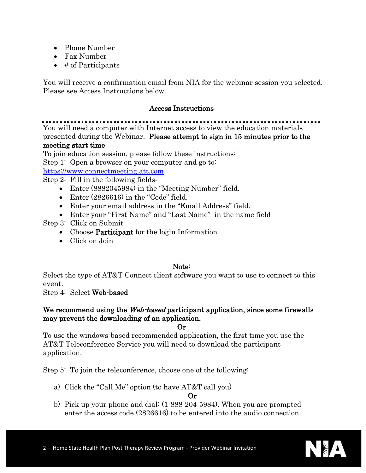- Phone Number
- Fax Number
- $\bullet$  # of Participants

You will receive a confirmation email from NIA for the webinar session you selected. Please see Access Instructions below.

## Access Instructions

You will need a computer with Internet access to view the education materials presented during the Webinar. Please attempt to sign in 15 minutes prior to the meeting start time.

To join education session, please follow these instructions:

Step 1: Open a browser on your computer and go to:

[https://www.connectmeeting.att.com](https://www.connectmeeting.att.com/)

Step 2: Fill in the following fields:

- Enter (8882045984) in the "Meeting Number" field.
- Enter (2826616) in the "Code" field.
- Enter your email address in the "Email Address" field.
- Enter your "First Name" and "Last Name" in the name field
- Step 3: Click on Submit
	- Choose **Participant** for the login Information
	- Click on Join

## Note:

Select the type of AT&T Connect client software you want to use to connect to this event.

Step 4: Select Web-based

## We recommend using the *Web-based* participant application, since some firewalls may prevent the downloading of an application.

Or

To use the windows-based recommended application, the first time you use the AT&T Teleconference Service you will need to download the participant application.

Step 5: To join the teleconference, choose one of the following:

a) Click the "Call Me" option (to have AT&T call you)

Or

b) Pick up your phone and dial: (1-888-204-5984). When you are prompted enter the access code (2826616) to be entered into the audio connection.